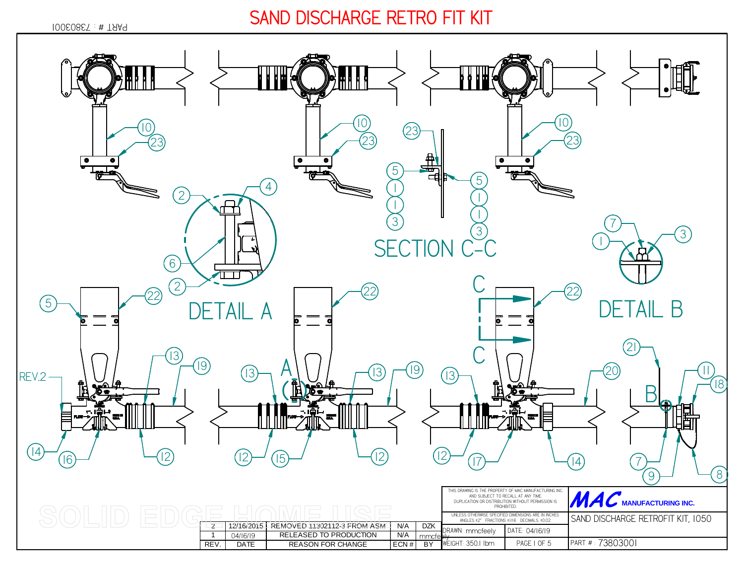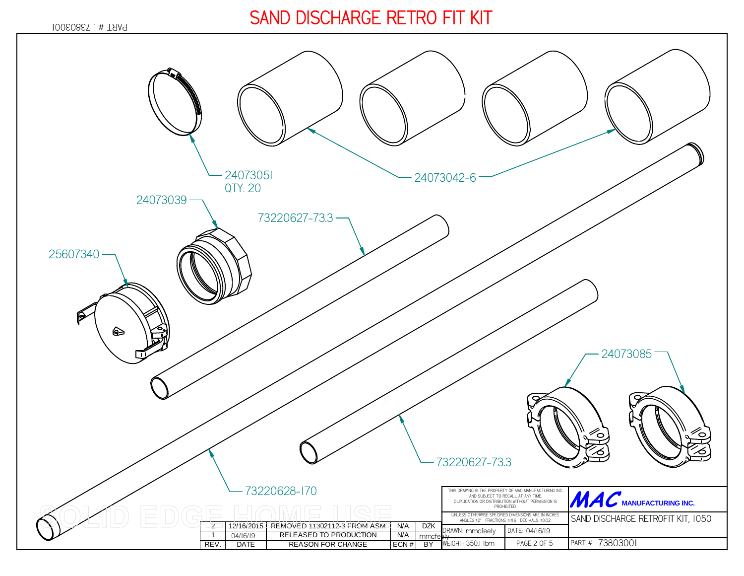*73803001* PART # :

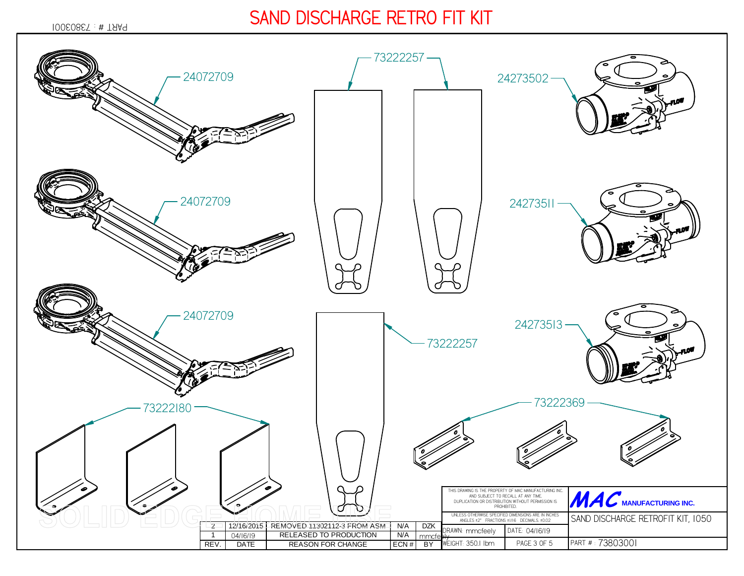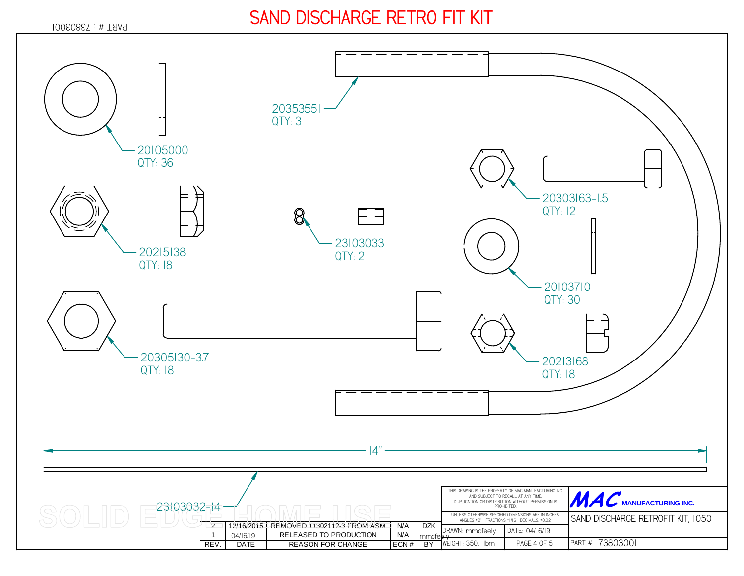